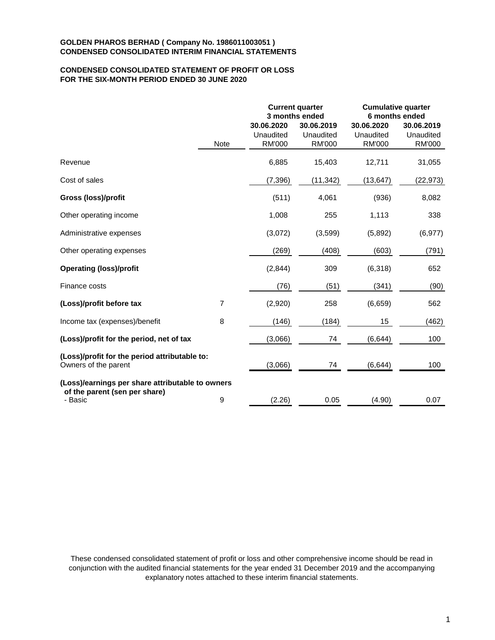# **CONDENSED CONSOLIDATED STATEMENT OF PROFIT OR LOSS FOR THE SIX-MONTH PERIOD ENDED 30 JUNE 2020**

|                                                                       |                |                                          | <b>Current quarter</b><br>3 months ended | <b>Cumulative quarter</b><br>6 months ended |                                          |  |
|-----------------------------------------------------------------------|----------------|------------------------------------------|------------------------------------------|---------------------------------------------|------------------------------------------|--|
|                                                                       | <b>Note</b>    | 30.06.2020<br>Unaudited<br><b>RM'000</b> | 30.06.2019<br>Unaudited<br><b>RM'000</b> | 30.06.2020<br>Unaudited<br><b>RM'000</b>    | 30.06.2019<br>Unaudited<br><b>RM'000</b> |  |
| Revenue                                                               |                | 6,885                                    | 15,403                                   | 12,711                                      | 31,055                                   |  |
| Cost of sales                                                         |                | (7, 396)                                 | (11, 342)                                | (13, 647)                                   | (22, 973)                                |  |
| Gross (loss)/profit                                                   |                | (511)                                    | 4,061                                    | (936)                                       | 8,082                                    |  |
| Other operating income                                                |                | 1,008                                    | 255                                      | 1,113                                       | 338                                      |  |
| Administrative expenses                                               |                | (3,072)                                  | (3,599)                                  | (5,892)                                     | (6, 977)                                 |  |
| Other operating expenses                                              |                | (269)                                    | (408)                                    | (603)                                       | (791)                                    |  |
| <b>Operating (loss)/profit</b>                                        |                | (2,844)                                  | 309                                      | (6,318)                                     | 652                                      |  |
| Finance costs                                                         |                | (76)                                     | (51)                                     | (341)                                       | (90)                                     |  |
| (Loss)/profit before tax                                              | $\overline{7}$ | (2,920)                                  | 258                                      | (6,659)                                     | 562                                      |  |
| Income tax (expenses)/benefit                                         | 8              | (146)                                    | (184)                                    | 15                                          | (462)                                    |  |
| (Loss)/profit for the period, net of tax                              |                | (3,066)                                  | 74                                       | (6, 644)                                    | 100                                      |  |
| (Loss)/profit for the period attributable to:<br>Owners of the parent |                | (3,066)                                  | 74                                       | (6,644)                                     | 100                                      |  |
| (Loss)/earnings per share attributable to owners                      |                |                                          |                                          |                                             |                                          |  |
| of the parent (sen per share)<br>- Basic                              | 9              | (2.26)                                   | 0.05                                     | (4.90)                                      | 0.07                                     |  |

These condensed consolidated statement of profit or loss and other comprehensive income should be read in conjunction with the audited financial statements for the year ended 31 December 2019 and the accompanying explanatory notes attached to these interim financial statements.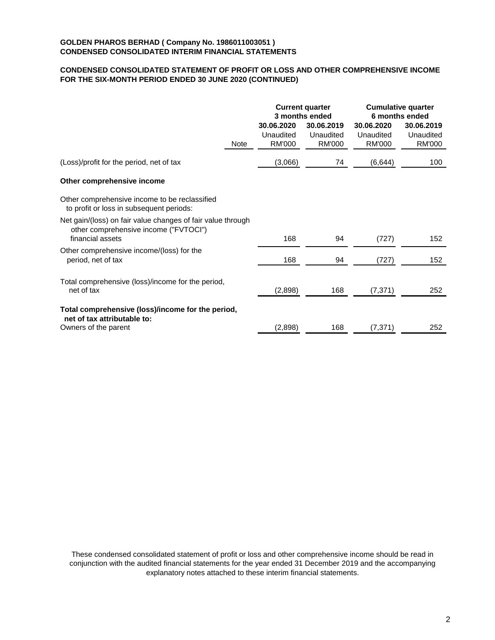# **CONDENSED CONSOLIDATED STATEMENT OF PROFIT OR LOSS AND OTHER COMPREHENSIVE INCOME FOR THE SIX-MONTH PERIOD ENDED 30 JUNE 2020 (CONTINUED)**

| <b>Current quarter</b><br>3 months ended |                                          | <b>Cumulative quarter</b><br>6 months ended |                                   |
|------------------------------------------|------------------------------------------|---------------------------------------------|-----------------------------------|
| 30.06.2020<br>Unaudited<br>RM'000        | 30.06.2019<br>Unaudited<br><b>RM'000</b> | 30.06.2020<br>Unaudited<br><b>RM'000</b>    | 30.06.2019<br>Unaudited<br>RM'000 |
| (3,066)                                  | 74                                       | (6, 644)                                    | 100                               |
|                                          |                                          |                                             |                                   |
|                                          |                                          |                                             |                                   |
| 168                                      | 94                                       | (727)                                       | 152                               |
| 168                                      | 94                                       | (727)                                       | 152                               |
| (2,898)                                  | 168                                      | (7, 371)                                    | 252                               |
|                                          |                                          |                                             | 252                               |
|                                          | (2,898)                                  | 168                                         | (7, 371)                          |

These condensed consolidated statement of profit or loss and other comprehensive income should be read in conjunction with the audited financial statements for the year ended 31 December 2019 and the accompanying explanatory notes attached to these interim financial statements.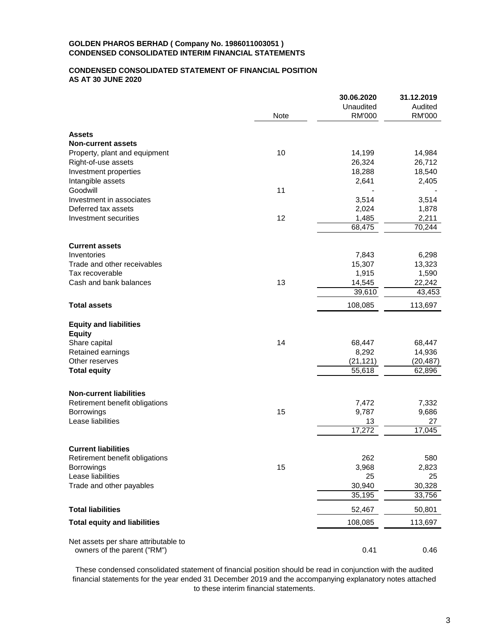## **CONDENSED CONSOLIDATED STATEMENT OF FINANCIAL POSITION AS AT 30 JUNE 2020**

|                                      |             | 30.06.2020    | 31.12.2019    |
|--------------------------------------|-------------|---------------|---------------|
|                                      |             | Unaudited     | Audited       |
|                                      | <b>Note</b> | <b>RM'000</b> | <b>RM'000</b> |
| <b>Assets</b>                        |             |               |               |
| <b>Non-current assets</b>            |             |               |               |
| Property, plant and equipment        | 10          | 14,199        | 14,984        |
| Right-of-use assets                  |             | 26,324        | 26,712        |
| Investment properties                |             | 18,288        | 18,540        |
| Intangible assets                    |             | 2,641         | 2,405         |
| Goodwill                             | 11          |               |               |
| Investment in associates             |             | 3,514         | 3,514         |
| Deferred tax assets                  |             | 2,024         | 1,878         |
| Investment securities                | 12          | 1,485         | 2,211         |
|                                      |             | 68,475        | 70,244        |
|                                      |             |               |               |
| <b>Current assets</b><br>Inventories |             | 7,843         | 6,298         |
| Trade and other receivables          |             | 15,307        | 13,323        |
| Tax recoverable                      |             | 1,915         | 1,590         |
| Cash and bank balances               | 13          | 14,545        | 22,242        |
|                                      |             | 39,610        | 43,453        |
| <b>Total assets</b>                  |             | 108,085       | 113,697       |
|                                      |             |               |               |
| <b>Equity and liabilities</b>        |             |               |               |
| <b>Equity</b>                        |             |               |               |
| Share capital                        | 14          | 68,447        | 68,447        |
| Retained earnings                    |             | 8,292         | 14,936        |
| Other reserves                       |             | (21, 121)     | (20, 487)     |
| <b>Total equity</b>                  |             | 55,618        | 62,896        |
| <b>Non-current liabilities</b>       |             |               |               |
| Retirement benefit obligations       |             | 7,472         | 7,332         |
| <b>Borrowings</b>                    | 15          | 9,787         | 9,686         |
| Lease liabilities                    |             | 13            | 27            |
|                                      |             | 17,272        | 17,045        |
|                                      |             |               |               |
| <b>Current liabilities</b>           |             |               |               |
| Retirement benefit obligations       |             | 262           | 580           |
| Borrowings                           | 15          | 3,968         | 2,823         |
| Lease liabilities                    |             | 25            | 25            |
| Trade and other payables             |             | 30,940        | 30,328        |
|                                      |             | 35,195        | 33,756        |
| <b>Total liabilities</b>             |             | 52,467        | 50,801        |
| <b>Total equity and liabilities</b>  |             | 108,085       | 113,697       |
| Net assets per share attributable to |             |               |               |
| owners of the parent ("RM")          |             | 0.41          | 0.46          |

These condensed consolidated statement of financial position should be read in conjunction with the audited financial statements for the year ended 31 December 2019 and the accompanying explanatory notes attached to these interim financial statements.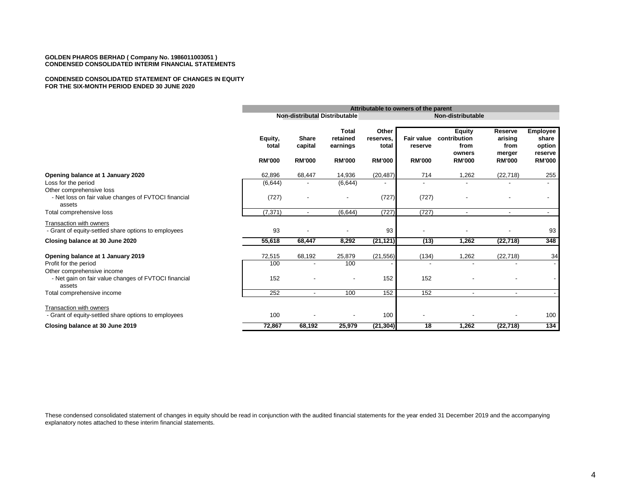#### **CONDENSED CONSOLIDATED STATEMENT OF CHANGES IN EQUITY FOR THE SIX-MONTH PERIOD ENDED 30 JUNE 2020**

|                                                                                 |                                   | Attributable to owners of the parent     |                                                       |                                              |                                               |                                                                  |                                                              |                                                         |
|---------------------------------------------------------------------------------|-----------------------------------|------------------------------------------|-------------------------------------------------------|----------------------------------------------|-----------------------------------------------|------------------------------------------------------------------|--------------------------------------------------------------|---------------------------------------------------------|
|                                                                                 |                                   |                                          | <b>Non-distributal Distributable</b>                  |                                              | Non-distributable                             |                                                                  |                                                              |                                                         |
|                                                                                 | Equity,<br>total<br><b>RM'000</b> | <b>Share</b><br>capital<br><b>RM'000</b> | <b>Total</b><br>retained<br>earnings<br><b>RM'000</b> | Other<br>reserves,<br>total<br><b>RM'000</b> | <b>Fair value</b><br>reserve<br><b>RM'000</b> | <b>Equity</b><br>contribution<br>from<br>owners<br><b>RM'000</b> | <b>Reserve</b><br>arising<br>from<br>merger<br><b>RM'000</b> | Employee<br>share<br>option<br>reserve<br><b>RM'000</b> |
| Opening balance at 1 January 2020                                               | 62,896                            | 68,447                                   | 14,936                                                | (20, 487)                                    | 714                                           | 1,262                                                            | (22, 718)                                                    | 255                                                     |
| Loss for the period<br>Other comprehensive loss                                 | (6,644)                           |                                          | (6,644)                                               |                                              |                                               |                                                                  |                                                              |                                                         |
| - Net loss on fair value changes of FVTOCI financial<br>assets                  | (727)                             |                                          |                                                       | (727)                                        | (727)                                         |                                                                  |                                                              |                                                         |
| Total comprehensive loss                                                        | (7, 371)                          | $\overline{\phantom{a}}$                 | (6, 644)                                              | (727)                                        | (727)                                         | $\overline{\phantom{a}}$                                         | $\overline{a}$                                               | $\overline{\phantom{a}}$                                |
| Transaction with owners<br>- Grant of equity-settled share options to employees | 93                                |                                          |                                                       | 93                                           |                                               |                                                                  |                                                              | 93                                                      |
| Closing balance at 30 June 2020                                                 | 55,618                            | 68,447                                   | 8,292                                                 | (21, 121)                                    | (13)                                          | 1,262                                                            | (22, 718)                                                    | 348                                                     |
| Opening balance at 1 January 2019                                               | 72,515                            | 68,192                                   | 25,879                                                | (21, 556)                                    | (134)                                         | 1,262                                                            | (22, 718)                                                    | 34                                                      |
| Profit for the period<br>Other comprehensive income                             | 100                               |                                          | 100                                                   |                                              |                                               |                                                                  |                                                              |                                                         |
| - Net gain on fair value changes of FVTOCI financial<br>assets                  | 152                               |                                          |                                                       | 152                                          | 152                                           |                                                                  |                                                              |                                                         |
| Total comprehensive income                                                      | 252                               | $\overline{\phantom{a}}$                 | 100                                                   | 152                                          | 152                                           | $\overline{\phantom{a}}$                                         | $\blacksquare$                                               |                                                         |
| Transaction with owners<br>- Grant of equity-settled share options to employees | 100                               |                                          |                                                       | 100                                          |                                               |                                                                  |                                                              | 100                                                     |
| Closing balance at 30 June 2019                                                 | 72,867                            | 68,192                                   | 25,979                                                | (21, 304)                                    | 18                                            | 1,262                                                            | (22, 718)                                                    | 134                                                     |

These condensed consolidated statement of changes in equity should be read in conjunction with the audited financial statements for the year ended 31 December 2019 and the accompanying explanatory notes attached to these interim financial statements.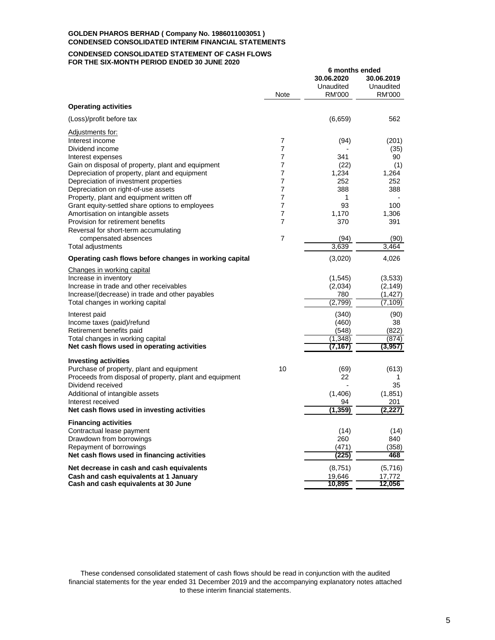#### **CONDENSED CONSOLIDATED STATEMENT OF CASH FLOWS FOR THE SIX-MONTH PERIOD ENDED 30 JUNE 2020**

|                                                                                              |                     | 6 months ended      |                     |
|----------------------------------------------------------------------------------------------|---------------------|---------------------|---------------------|
|                                                                                              |                     | 30.06.2020          | 30.06.2019          |
|                                                                                              | Note                | Unaudited<br>RM'000 | Unaudited<br>RM'000 |
| <b>Operating activities</b>                                                                  |                     |                     |                     |
| (Loss)/profit before tax                                                                     |                     | (6,659)             | 562                 |
| Adjustments for:                                                                             |                     |                     |                     |
| Interest income                                                                              | 7                   | (94)                | (201)               |
| Dividend income                                                                              | 7                   |                     | (35)                |
| Interest expenses                                                                            | 7                   | 341                 | 90                  |
| Gain on disposal of property, plant and equipment                                            | 7                   | (22)                | (1)                 |
| Depreciation of property, plant and equipment                                                | 7                   | 1,234               | 1,264               |
| Depreciation of investment properties                                                        | 7<br>$\overline{7}$ | 252                 | 252                 |
| Depreciation on right-of-use assets                                                          | 7                   | 388<br>1            | 388                 |
| Property, plant and equipment written off<br>Grant equity-settled share options to employees | 7                   | 93                  | 100                 |
| Amortisation on intangible assets                                                            | 7                   | 1,170               | 1,306               |
| Provision for retirement benefits                                                            | 7                   | 370                 | 391                 |
| Reversal for short-term accumulating                                                         |                     |                     |                     |
| compensated absences                                                                         | 7                   | (94)                | (90)                |
| Total adjustments                                                                            |                     | 3,639               | 3,464               |
| Operating cash flows before changes in working capital                                       |                     | (3,020)             | 4,026               |
| Changes in working capital                                                                   |                     |                     |                     |
| Increase in inventory                                                                        |                     | (1, 545)            | (3,533)             |
| Increase in trade and other receivables                                                      |                     | (2,034)             | (2, 149)            |
| Increase/(decrease) in trade and other payables                                              |                     | 780                 | (1, 427)            |
| Total changes in working capital                                                             |                     | (2,799)             | (7,109)             |
| Interest paid                                                                                |                     | (340)               | (90)                |
| Income taxes (paid)/refund                                                                   |                     | (460)               | 38                  |
| Retirement benefits paid                                                                     |                     | (548)               | (822)               |
| Total changes in working capital                                                             |                     | (1.348)             | (874)               |
| Net cash flows used in operating activities                                                  |                     | (7,167)             | (3,957)             |
| <b>Investing activities</b>                                                                  |                     |                     |                     |
| Purchase of property, plant and equipment                                                    | 10                  | (69)                | (613)               |
| Proceeds from disposal of property, plant and equipment                                      |                     | 22                  | 1                   |
| Dividend received                                                                            |                     |                     | 35                  |
| Additional of intangible assets                                                              |                     | (1,406)             | (1, 851)            |
| Interest received                                                                            |                     | 94                  | 201                 |
| Net cash flows used in investing activities                                                  |                     | (1, 359)            | (2, 227)            |
| <b>Financing activities</b>                                                                  |                     |                     |                     |
| Contractual lease payment                                                                    |                     | (14)                | (14)                |
| Drawdown from borrowings                                                                     |                     | 260                 | 840                 |
| Repayment of borrowings<br>Net cash flows used in financing activities                       |                     | (471)<br>(225)      | (358)<br>468        |
|                                                                                              |                     |                     |                     |
| Net decrease in cash and cash equivalents                                                    |                     | (8,751)             | (5,716)             |
| Cash and cash equivalents at 1 January                                                       |                     | 19,646              | 17,772              |
| Cash and cash equivalents at 30 June                                                         |                     | 10,895              | 12,056              |

These condensed consolidated statement of cash flows should be read in conjunction with the audited financial statements for the year ended 31 December 2019 and the accompanying explanatory notes attached to these interim financial statements.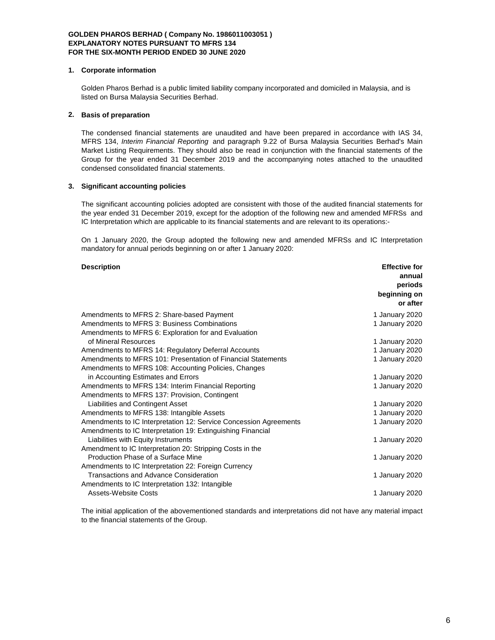### **1. Corporate information**

Golden Pharos Berhad is a public limited liability company incorporated and domiciled in Malaysia, and is listed on Bursa Malaysia Securities Berhad.

### **2. Basis of preparation**

The condensed financial statements are unaudited and have been prepared in accordance with IAS 34, MFRS 134, *Interim Financial Reporting* and paragraph 9.22 of Bursa Malaysia Securities Berhad's Main Market Listing Requirements. They should also be read in conjunction with the financial statements of the Group for the year ended 31 December 2019 and the accompanying notes attached to the unaudited condensed consolidated financial statements.

### **3. Significant accounting policies**

The significant accounting policies adopted are consistent with those of the audited financial statements for the year ended 31 December 2019, except for the adoption of the following new and amended MFRSs and IC Interpretation which are applicable to its financial statements and are relevant to its operations:-

On 1 January 2020, the Group adopted the following new and amended MFRSs and IC Interpretation mandatory for annual periods beginning on or after 1 January 2020:

#### **Description Effective for**

|                                                                   | annual         |
|-------------------------------------------------------------------|----------------|
|                                                                   | periods        |
|                                                                   | beginning on   |
|                                                                   | or after       |
| Amendments to MFRS 2: Share-based Payment                         | 1 January 2020 |
| Amendments to MFRS 3: Business Combinations                       | 1 January 2020 |
| Amendments to MFRS 6: Exploration for and Evaluation              |                |
| of Mineral Resources                                              | 1 January 2020 |
| Amendments to MFRS 14: Regulatory Deferral Accounts               | 1 January 2020 |
| Amendments to MFRS 101: Presentation of Financial Statements      | 1 January 2020 |
| Amendments to MFRS 108: Accounting Policies, Changes              |                |
| in Accounting Estimates and Errors                                | 1 January 2020 |
| Amendments to MFRS 134: Interim Financial Reporting               | 1 January 2020 |
| Amendments to MFRS 137: Provision, Contingent                     |                |
| Liabilities and Contingent Asset                                  | 1 January 2020 |
| Amendments to MFRS 138: Intangible Assets                         | 1 January 2020 |
| Amendments to IC Interpretation 12: Service Concession Agreements | 1 January 2020 |
| Amendments to IC Interpretation 19: Extinguishing Financial       |                |
| Liabilities with Equity Instruments                               | 1 January 2020 |
| Amendment to IC Interpretation 20: Stripping Costs in the         |                |
| Production Phase of a Surface Mine                                | 1 January 2020 |
| Amendments to IC Interpretation 22: Foreign Currency              |                |
| Transactions and Advance Consideration                            | 1 January 2020 |
| Amendments to IC Interpretation 132: Intangible                   |                |
| Assets-Website Costs                                              | 1 January 2020 |

The initial application of the abovementioned standards and interpretations did not have any material impact to the financial statements of the Group.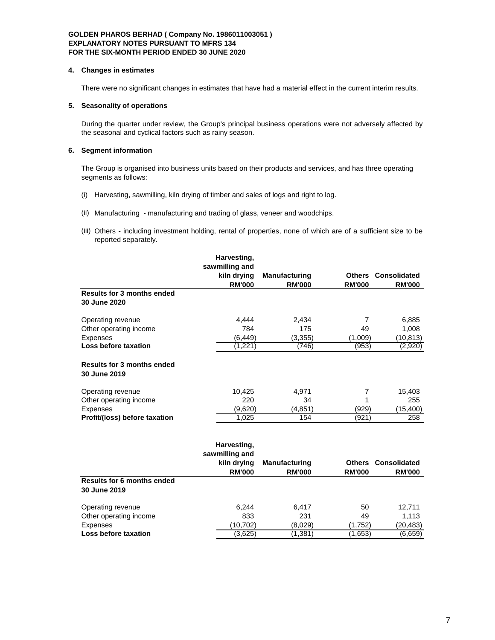#### **4. Changes in estimates**

There were no significant changes in estimates that have had a material effect in the current interim results.

### **5. Seasonality of operations**

During the quarter under review, the Group's principal business operations were not adversely affected by the seasonal and cyclical factors such as rainy season.

### **6. Segment information**

The Group is organised into business units based on their products and services, and has three operating segments as follows:

- (i) Harvesting, sawmilling, kiln drying of timber and sales of logs and right to log.
- (ii) Manufacturing manufacturing and trading of glass, veneer and woodchips.
- (iii) Others including investment holding, rental of properties, none of which are of a sufficient size to be reported separately.

|                                                   | Harvesting,                   |                      |                |                            |
|---------------------------------------------------|-------------------------------|----------------------|----------------|----------------------------|
|                                                   | sawmilling and                |                      |                |                            |
|                                                   | kiln drying                   | <b>Manufacturing</b> |                | <b>Others Consolidated</b> |
|                                                   | <b>RM'000</b>                 | <b>RM'000</b>        | <b>RM'000</b>  | <b>RM'000</b>              |
| <b>Results for 3 months ended</b>                 |                               |                      |                |                            |
| 30 June 2020                                      |                               |                      |                |                            |
| Operating revenue                                 | 4,444                         | 2,434                | $\overline{7}$ | 6,885                      |
| Other operating income                            | 784                           | 175                  | 49             | 1,008                      |
| <b>Expenses</b>                                   | (6, 449)                      | (3, 355)             | (1,009)        | (10, 813)                  |
| <b>Loss before taxation</b>                       | (1,221)                       | (746)                | (953)          | (2,920)                    |
| <b>Results for 3 months ended</b><br>30 June 2019 |                               |                      |                |                            |
| Operating revenue                                 | 10,425                        | 4,971                | 7              | 15,403                     |
| Other operating income                            | 220                           | 34                   | 1              | 255                        |
| <b>Expenses</b>                                   | (9,620)                       | (4, 851)             | (929)          | (15, 400)                  |
| Profit/(loss) before taxation                     | 1.025                         | 154                  | (921)          | 258                        |
|                                                   | Harvesting,<br>sawmilling and |                      |                |                            |
|                                                   | kiln drying                   | <b>Manufacturing</b> | <b>Others</b>  | <b>Consolidated</b>        |
|                                                   | <b>RM'000</b>                 | <b>RM'000</b>        | <b>RM'000</b>  | <b>RM'000</b>              |
| <b>Results for 6 months ended</b><br>30 June 2019 |                               |                      |                |                            |
| Operating revenue                                 | 6,244                         | 6,417                | 50             | 12,711                     |
| Other operating income                            | 833                           | 231                  | 49             | 1,113                      |
| <b>Expenses</b>                                   | (10, 702)                     | (8,029)              | (1,752)        | (20, 483)                  |

**Loss before taxation** (3,625) (1,381) (1,653) (6,659)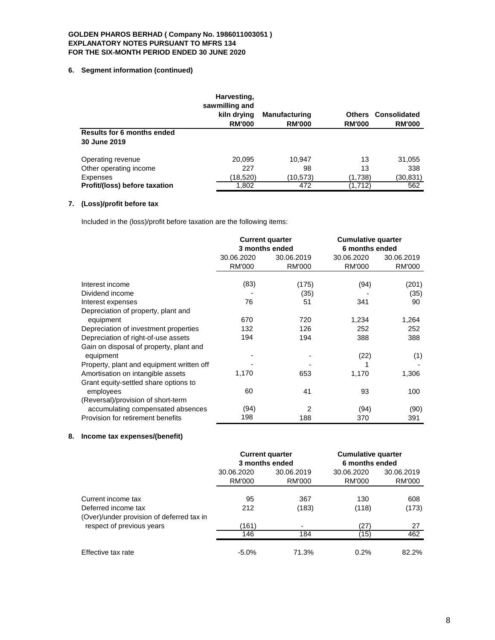### **6. Segment information (continued)**

|                                      | Harvesting,<br>sawmilling and<br>kiln drying | <b>Manufacturing</b> | Others        | Consolidated  |
|--------------------------------------|----------------------------------------------|----------------------|---------------|---------------|
|                                      | <b>RM'000</b>                                | <b>RM'000</b>        | <b>RM'000</b> | <b>RM'000</b> |
| <b>Results for 6 months ended</b>    |                                              |                      |               |               |
| 30 June 2019                         |                                              |                      |               |               |
| Operating revenue                    | 20.095                                       | 10.947               | 13            | 31,055        |
| Other operating income               | 227                                          | 98                   | 13            | 338           |
| Expenses                             | (18,520)                                     | (10,573)             | (1,738)       | (30,831)      |
| <b>Profit/(loss) before taxation</b> | 1,802                                        | 472                  | (1,712)       | 562           |

# **7. (Loss)/profit before tax**

Included in the (loss)/profit before taxation are the following items:

|                                           |            | <b>Current quarter</b> | <b>Cumulative quarter</b><br>6 months ended |            |
|-------------------------------------------|------------|------------------------|---------------------------------------------|------------|
|                                           |            | 3 months ended         |                                             |            |
|                                           | 30.06.2020 | 30.06.2019             | 30.06.2020                                  | 30.06.2019 |
|                                           | RM'000     | RM'000                 | <b>RM'000</b>                               | RM'000     |
|                                           |            |                        |                                             |            |
| Interest income                           | (83)       | (175)                  | (94)                                        | (201)      |
| Dividend income                           |            | (35)                   |                                             | (35)       |
| Interest expenses                         | 76         | 51                     | 341                                         | 90         |
| Depreciation of property, plant and       |            |                        |                                             |            |
| equipment                                 | 670        | 720                    | 1,234                                       | 1,264      |
| Depreciation of investment properties     | 132        | 126                    | 252                                         | 252        |
| Depreciation of right-of-use assets       | 194        | 194                    | 388                                         | 388        |
| Gain on disposal of property, plant and   |            |                        |                                             |            |
| equipment                                 |            |                        | (22)                                        | (1)        |
| Property, plant and equipment written off |            |                        |                                             |            |
| Amortisation on intangible assets         | 1,170      | 653                    | 1,170                                       | 1,306      |
| Grant equity-settled share options to     |            |                        |                                             |            |
| employees                                 | 60         | 41                     | 93                                          | 100        |
| (Reversal)/provision of short-term        |            |                        |                                             |            |
| accumulating compensated absences         | (94)       | 2                      | (94)                                        | (90)       |
| Provision for retirement benefits         | 198        | 188                    | 370                                         | 391        |

# **8. Income tax expenses/(benefit)**

|                                           |                          | <b>Current quarter</b><br>3 months ended | <b>Cumulative quarter</b><br>6 months ended |            |
|-------------------------------------------|--------------------------|------------------------------------------|---------------------------------------------|------------|
|                                           | 30.06.2020<br>30.06.2019 |                                          | 30.06.2020                                  | 30.06.2019 |
|                                           | RM'000                   | RM'000                                   | RM'000                                      | RM'000     |
| Current income tax                        | 95                       | 367                                      | 130                                         | 608        |
| Deferred income tax                       | 212                      | (183)                                    | (118)                                       | (173)      |
| (Over)/under provision of deferred tax in |                          |                                          |                                             |            |
| respect of previous years                 | (161)                    | ٠                                        | (27)                                        | 27         |
|                                           | 146                      | 184                                      | (15)                                        | 462        |
| Effective tax rate                        | $-5.0%$                  | 71.3%                                    | 0.2%                                        | 82.2%      |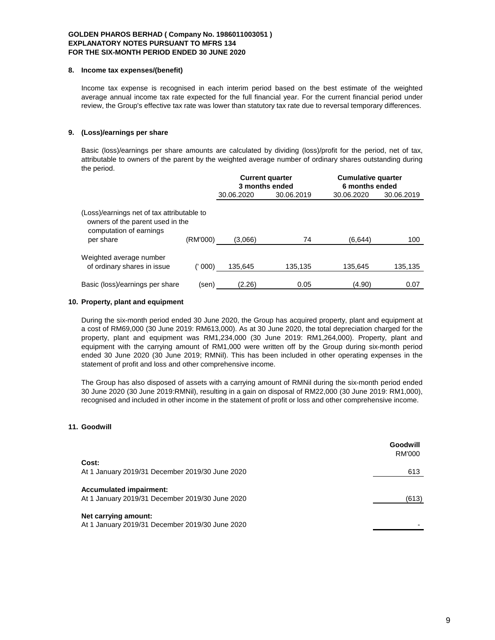#### **8. Income tax expenses/(benefit)**

Income tax expense is recognised in each interim period based on the best estimate of the weighted average annual income tax rate expected for the full financial year. For the current financial period under review, the Group's effective tax rate was lower than statutory tax rate due to reversal temporary differences.

### **9. (Loss)/earnings per share**

Basic (loss)/earnings per share amounts are calculated by dividing (loss)/profit for the period, net of tax, attributable to owners of the parent by the weighted average number of ordinary shares outstanding during the period.

|                                                                                                                        |          |            | <b>Current quarter</b><br>3 months ended | <b>Cumulative quarter</b><br>6 months ended |            |
|------------------------------------------------------------------------------------------------------------------------|----------|------------|------------------------------------------|---------------------------------------------|------------|
|                                                                                                                        |          | 30.06.2020 | 30.06.2019                               | 30.06.2020                                  | 30.06.2019 |
| (Loss)/earnings net of tax attributable to<br>owners of the parent used in the<br>computation of earnings<br>per share | (RM'000) | (3,066)    | 74                                       | (6,644)                                     | 100        |
|                                                                                                                        |          |            |                                          |                                             |            |
| Weighted average number<br>of ordinary shares in issue                                                                 | 000)     | 135.645    | 135,135                                  | 135,645                                     | 135,135    |
| Basic (loss)/earnings per share                                                                                        | (sen)    | (2.26)     | 0.05                                     | (4.90)                                      | 0.07       |

### **10. Property, plant and equipment**

During the six-month period ended 30 June 2020, the Group has acquired property, plant and equipment at a cost of RM69,000 (30 June 2019: RM613,000). As at 30 June 2020, the total depreciation charged for the property, plant and equipment was RM1,234,000 (30 June 2019: RM1,264,000). Property, plant and equipment with the carrying amount of RM1,000 were written off by the Group during six-month period ended 30 June 2020 (30 June 2019; RMNil). This has been included in other operating expenses in the statement of profit and loss and other comprehensive income.

The Group has also disposed of assets with a carrying amount of RMNil during the six-month period ended 30 June 2020 (30 June 2019:RMNil), resulting in a gain on disposal of RM22,000 (30 June 2019: RM1,000), recognised and included in other income in the statement of profit or loss and other comprehensive income.

### **11. Goodwill**

|                                                                                   | Goodwill<br>RM'000 |
|-----------------------------------------------------------------------------------|--------------------|
| Cost:                                                                             |                    |
| At 1 January 2019/31 December 2019/30 June 2020                                   | 613                |
| <b>Accumulated impairment:</b><br>At 1 January 2019/31 December 2019/30 June 2020 | (613)              |
| Net carrying amount:<br>At 1 January 2019/31 December 2019/30 June 2020           |                    |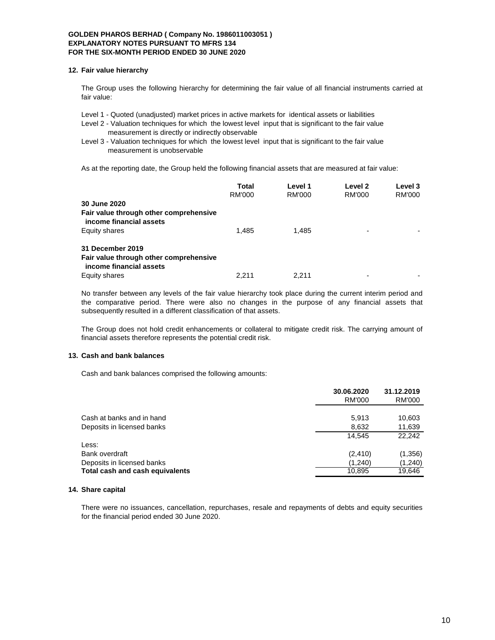#### **12. Fair value hierarchy**

The Group uses the following hierarchy for determining the fair value of all financial instruments carried at fair value:

Level 1 - Quoted (unadjusted) market prices in active markets for identical assets or liabilities

Level 2 - Valuation techniques for which the lowest level input that is significant to the fair value measurement is directly or indirectly observable

Level 3 - Valuation techniques for which the lowest level input that is significant to the fair value measurement is unobservable

As at the reporting date, the Group held the following financial assets that are measured at fair value:

|                                                                                       | Total  | Level 1 | Level 2 | Level 3 |
|---------------------------------------------------------------------------------------|--------|---------|---------|---------|
|                                                                                       | RM'000 | RM'000  | RM'000  | RM'000  |
| <b>30 June 2020</b>                                                                   |        |         |         |         |
| Fair value through other comprehensive<br>income financial assets                     |        |         |         |         |
| Equity shares                                                                         | 1.485  | 1.485   | ٠       |         |
| 31 December 2019<br>Fair value through other comprehensive<br>income financial assets |        |         |         |         |
| Equity shares                                                                         | 2.211  | 2.211   | -       |         |

No transfer between any levels of the fair value hierarchy took place during the current interim period and the comparative period. There were also no changes in the purpose of any financial assets that subsequently resulted in a different classification of that assets.

The Group does not hold credit enhancements or collateral to mitigate credit risk. The carrying amount of financial assets therefore represents the potential credit risk.

### **13. Cash and bank balances**

Cash and bank balances comprised the following amounts:

|                                 | 30.06.2020 | 31.12.2019    |
|---------------------------------|------------|---------------|
|                                 | RM'000     | <b>RM'000</b> |
|                                 |            |               |
| Cash at banks and in hand       | 5.913      | 10,603        |
| Deposits in licensed banks      | 8,632      | 11,639        |
|                                 | 14.545     | 22.242        |
| Less:                           |            |               |
| Bank overdraft                  | (2, 410)   | (1,356)       |
| Deposits in licensed banks      | (1,240)    | (1,240)       |
| Total cash and cash equivalents | 10,895     | 19,646        |
|                                 |            |               |

### **14. Share capital**

There were no issuances, cancellation, repurchases, resale and repayments of debts and equity securities for the financial period ended 30 June 2020.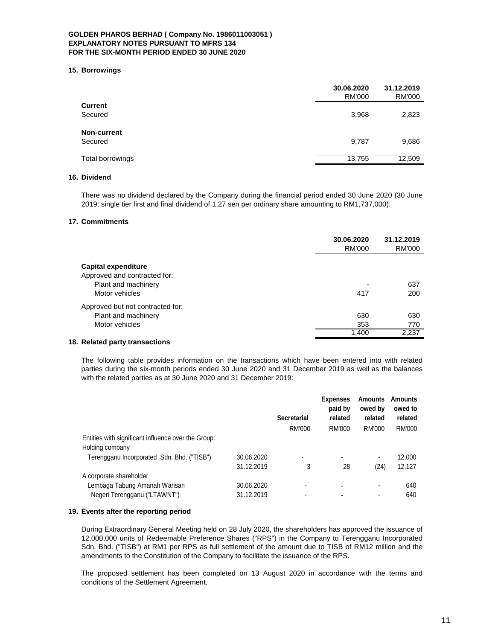#### **15. Borrowings**

|                  | 30.06.2020<br><b>RM'000</b> | 31.12.2019<br><b>RM'000</b> |
|------------------|-----------------------------|-----------------------------|
| <b>Current</b>   |                             |                             |
| Secured          | 3,968                       | 2,823                       |
| Non-current      |                             |                             |
| Secured          | 9,787                       | 9,686                       |
| Total borrowings | 13,755                      | 12,509                      |

## **16. Dividend**

There was no dividend declared by the Company during the financial period ended 30 June 2020 (30 June 2019: single tier first and final dividend of 1.27 sen per ordinary share amounting to RM1,737,000).

#### **17. Commitments**

| 30.06.2020<br><b>RM'000</b> | 31.12.2019<br>RM'000 |
|-----------------------------|----------------------|
|                             |                      |
|                             |                      |
|                             | 637                  |
| 417                         | 200                  |
|                             |                      |
| 630                         | 630                  |
| 353                         | 770                  |
| 1,400                       | 2,237                |
|                             |                      |

# **18. Related party transactions**

The following table provides information on the transactions which have been entered into with related parties during the six-month periods ended 30 June 2020 and 31 December 2019 as well as the balances with the related parties as at 30 June 2020 and 31 December 2019:

|                                                     |            | <b>Secretarial</b>       | <b>Expenses</b><br>paid by<br>related | <b>Amounts</b><br>owed by<br>related | <b>Amounts</b><br>owed to<br>related |
|-----------------------------------------------------|------------|--------------------------|---------------------------------------|--------------------------------------|--------------------------------------|
|                                                     |            | RM'000                   | RM'000                                | RM'000                               | RM'000                               |
| Entities with significant influence over the Group: |            |                          |                                       |                                      |                                      |
| Holding company                                     |            |                          |                                       |                                      |                                      |
| Terengganu Incorporated Sdn. Bhd. ("TISB")          | 30.06.2020 | $\overline{\phantom{a}}$ | $\overline{\phantom{a}}$              | ۰                                    | 12,000                               |
|                                                     | 31.12.2019 | 3                        | 28                                    | (24)                                 | 12,127                               |
| A corporate shareholder                             |            |                          |                                       |                                      |                                      |
| Lembaga Tabung Amanah Warisan                       | 30.06.2020 | $\overline{\phantom{0}}$ | $\overline{\phantom{a}}$              | ۰                                    | 640                                  |
| Negeri Terengganu ("LTAWNT")                        | 31.12.2019 | $\overline{\phantom{0}}$ |                                       | ۰                                    | 640                                  |

#### **19. Events after the reporting period**

During Extraordinary General Meeting held on 28 July 2020, the shareholders has approved the issuance of 12,000,000 units of Redeemable Preference Shares ("RPS") in the Company to Terengganu Incorporated Sdn. Bhd. ("TISB") at RM1 per RPS as full settlement of the amount due to TISB of RM12 million and the amendments to the Constitution of the Company to facilitate the issuance of the RPS.

The proposed settlement has been completed on 13 August 2020 in accordance with the terms and conditions of the Settlement Agreement.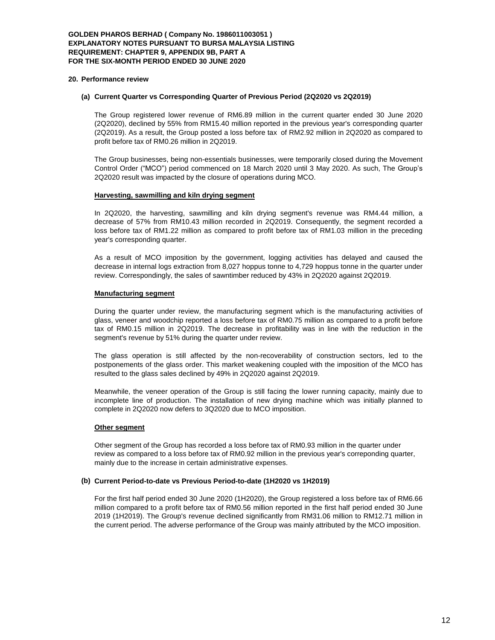### **GOLDEN PHAROS BERHAD ( Company No. 1986011003051 ) EXPLANATORY NOTES PURSUANT TO BURSA MALAYSIA LISTING REQUIREMENT: CHAPTER 9, APPENDIX 9B, PART A FOR THE SIX-MONTH PERIOD ENDED 30 JUNE 2020**

#### **20. Performance review**

#### **(a) Current Quarter vs Corresponding Quarter of Previous Period (2Q2020 vs 2Q2019)**

The Group registered lower revenue of RM6.89 million in the current quarter ended 30 June 2020 (2Q2020), declined by 55% from RM15.40 million reported in the previous year's corresponding quarter (2Q2019). As a result, the Group posted a loss before tax of RM2.92 million in 2Q2020 as compared to profit before tax of RM0.26 million in 2Q2019.

The Group businesses, being non-essentials businesses, were temporarily closed during the Movement Control Order ("MCO") period commenced on 18 March 2020 until 3 May 2020. As such, The Group's 2Q2020 result was impacted by the closure of operations during MCO.

#### **Harvesting, sawmilling and kiln drying segment**

In 2Q2020, the harvesting, sawmilling and kiln drying segment's revenue was RM4.44 million, a decrease of 57% from RM10.43 million recorded in 2Q2019. Consequently, the segment recorded a loss before tax of RM1.22 million as compared to profit before tax of RM1.03 million in the preceding year's corresponding quarter.

As a result of MCO imposition by the government, logging activities has delayed and caused the decrease in internal logs extraction from 8,027 hoppus tonne to 4,729 hoppus tonne in the quarter under review. Correspondingly, the sales of sawntimber reduced by 43% in 2Q2020 against 2Q2019.

#### **Manufacturing segment**

During the quarter under review, the manufacturing segment which is the manufacturing activities of glass, veneer and woodchip reported a loss before tax of RM0.75 million as compared to a profit before tax of RM0.15 million in 2Q2019. The decrease in profitability was in line with the reduction in the segment's revenue by 51% during the quarter under review.

The glass operation is still affected by the non-recoverability of construction sectors, led to the postponements of the glass order. This market weakening coupled with the imposition of the MCO has resulted to the glass sales declined by 49% in 2Q2020 against 2Q2019.

Meanwhile, the veneer operation of the Group is still facing the lower running capacity, mainly due to incomplete line of production. The installation of new drying machine which was initially planned to complete in 2Q2020 now defers to 3Q2020 due to MCO imposition.

### **Other segment**

Other segment of the Group has recorded a loss before tax of RM0.93 million in the quarter under review as compared to a loss before tax of RM0.92 million in the previous year's correponding quarter, mainly due to the increase in certain administrative expenses.

#### **(b) Current Period-to-date vs Previous Period-to-date (1H2020 vs 1H2019)**

For the first half period ended 30 June 2020 (1H2020), the Group registered a loss before tax of RM6.66 million compared to a profit before tax of RM0.56 million reported in the first half period ended 30 June 2019 (1H2019). The Group's revenue declined significantly from RM31.06 million to RM12.71 million in the current period. The adverse performance of the Group was mainly attributed by the MCO imposition.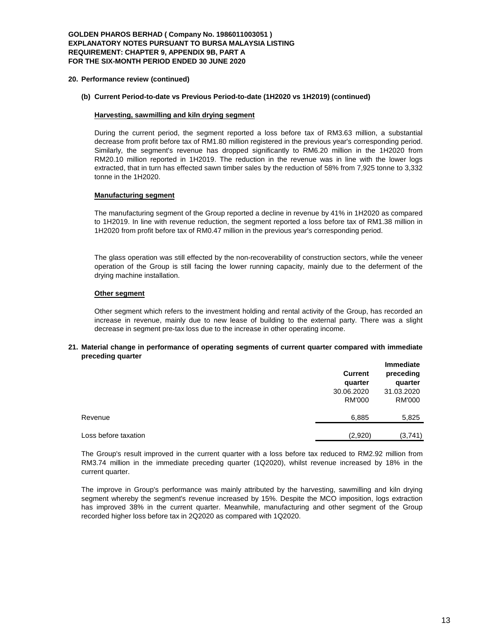### **GOLDEN PHAROS BERHAD ( Company No. 1986011003051 ) EXPLANATORY NOTES PURSUANT TO BURSA MALAYSIA LISTING REQUIREMENT: CHAPTER 9, APPENDIX 9B, PART A FOR THE SIX-MONTH PERIOD ENDED 30 JUNE 2020**

#### **20. Performance review (continued)**

### **(b) Current Period-to-date vs Previous Period-to-date (1H2020 vs 1H2019) (continued)**

#### **Harvesting, sawmilling and kiln drying segment**

During the current period, the segment reported a loss before tax of RM3.63 million, a substantial decrease from profit before tax of RM1.80 million registered in the previous year's corresponding period. Similarly, the segment's revenue has dropped significantly to RM6.20 million in the 1H2020 from RM20.10 million reported in 1H2019. The reduction in the revenue was in line with the lower logs extracted, that in turn has effected sawn timber sales by the reduction of 58% from 7,925 tonne to 3,332 tonne in the 1H2020.

#### **Manufacturing segment**

The manufacturing segment of the Group reported a decline in revenue by 41% in 1H2020 as compared to 1H2019. In line with revenue reduction, the segment reported a loss before tax of RM1.38 million in 1H2020 from profit before tax of RM0.47 million in the previous year's corresponding period.

The glass operation was still effected by the non-recoverability of construction sectors, while the veneer operation of the Group is still facing the lower running capacity, mainly due to the deferment of the drying machine installation.

#### **Other segment**

Other segment which refers to the investment holding and rental activity of the Group, has recorded an increase in revenue, mainly due to new lease of building to the external party. There was a slight decrease in segment pre-tax loss due to the increase in other operating income.

#### **21. Material change in performance of operating segments of current quarter compared with immediate preceding quarter**

|                      | <b>Current</b><br>quarter   | <b>Immediate</b><br>preceding<br>quarter |  |
|----------------------|-----------------------------|------------------------------------------|--|
|                      | 30.06.2020<br><b>RM'000</b> | 31.03.2020<br><b>RM'000</b>              |  |
|                      |                             |                                          |  |
| Revenue              | 6,885                       | 5,825                                    |  |
| Loss before taxation | (2,920)                     | (3,741)                                  |  |

The Group's result improved in the current quarter with a loss before tax reduced to RM2.92 million from RM3.74 million in the immediate preceding quarter (1Q2020), whilst revenue increased by 18% in the current quarter.

The improve in Group's performance was mainly attributed by the harvesting, sawmilling and kiln drying segment whereby the segment's revenue increased by 15%. Despite the MCO imposition, logs extraction has improved 38% in the current quarter. Meanwhile, manufacturing and other segment of the Group recorded higher loss before tax in 2Q2020 as compared with 1Q2020.